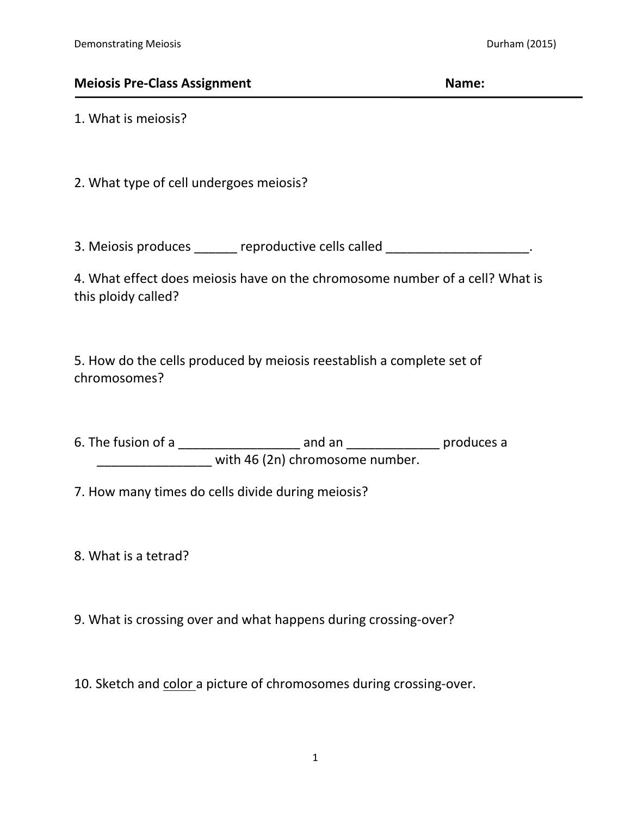## **Meiosis Pre-Class Assignment Name:**

1. What is meiosis?

2. What type of cell undergoes meiosis?

3. Meiosis produces \_\_\_\_\_\_ reproductive cells called \_\_\_\_\_\_\_\_\_\_\_\_\_\_\_\_\_\_\_\_\_\_.

4. What effect does meiosis have on the chromosome number of a cell? What is this ploidy called?

5. How do the cells produced by meiosis reestablish a complete set of chromosomes?

6. The fusion of a \_\_\_\_\_\_\_\_\_\_\_\_\_\_\_\_\_ and an \_\_\_\_\_\_\_\_\_\_\_\_\_ produces a \_\_\_\_\_\_\_\_\_\_\_\_\_\_\_\_ with 46 (2n) chromosome number.

7. How many times do cells divide during meiosis?

8. What is a tetrad?

9. What is crossing over and what happens during crossing-over?

10. Sketch and color a picture of chromosomes during crossing-over.